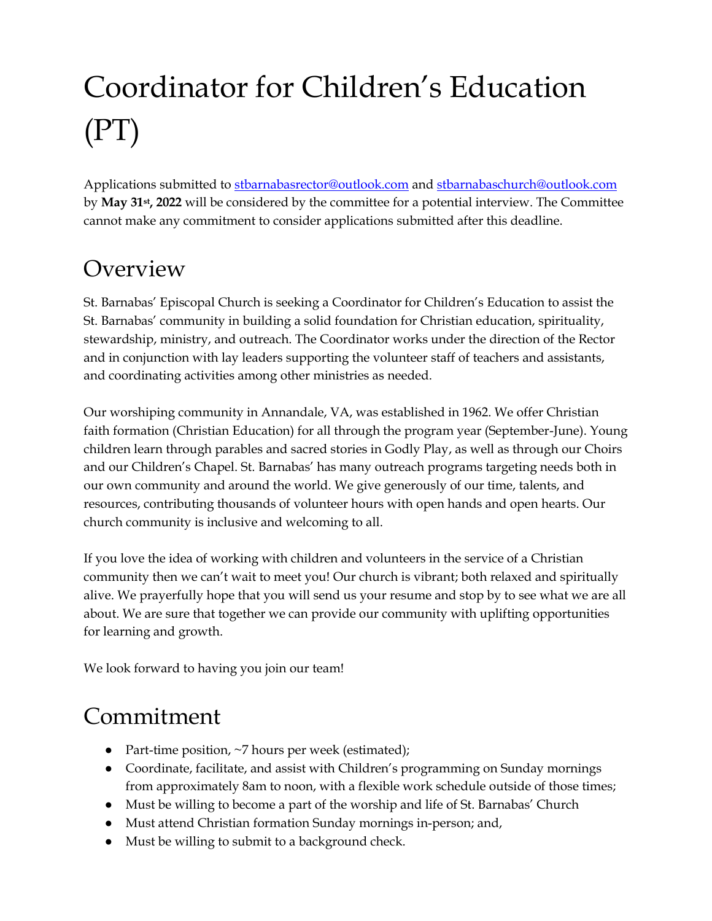# Coordinator for Children's Education (PT)

Applications submitted t[o stbarnabasrector@outlook.com](mailto:stbarnabasrector@outlook.com) an[d stbarnabaschurch@outlook.com](mailto:stbarnabaschurch@outlook.com) by **May 31st, 2022** will be considered by the committee for a potential interview. The Committee cannot make any commitment to consider applications submitted after this deadline.

## **Overview**

St. Barnabas' Episcopal Church is seeking a Coordinator for Children's Education to assist the St. Barnabas' community in building a solid foundation for Christian education, spirituality, stewardship, ministry, and outreach. The Coordinator works under the direction of the Rector and in conjunction with lay leaders supporting the volunteer staff of teachers and assistants, and coordinating activities among other ministries as needed.

Our worshiping community in Annandale, VA, was established in 1962. We offer Christian faith formation (Christian Education) for all through the program year (September-June). Young children learn through parables and sacred stories in Godly Play, as well as through our Choirs and our Children's Chapel. St. Barnabas' has many outreach programs targeting needs both in our own community and around the world. We give generously of our time, talents, and resources, contributing thousands of volunteer hours with open hands and open hearts. Our church community is inclusive and welcoming to all.

If you love the idea of working with children and volunteers in the service of a Christian community then we can't wait to meet you! Our church is vibrant; both relaxed and spiritually alive. We prayerfully hope that you will send us your resume and stop by to see what we are all about. We are sure that together we can provide our community with uplifting opportunities for learning and growth.

We look forward to having you join our team!

## Commitment

- Part-time position,  $\neg$ 7 hours per week (estimated);
- Coordinate, facilitate, and assist with Children's programming on Sunday mornings from approximately 8am to noon, with a flexible work schedule outside of those times;
- Must be willing to become a part of the worship and life of St. Barnabas' Church
- Must attend Christian formation Sunday mornings in-person; and,
- Must be willing to submit to a background check.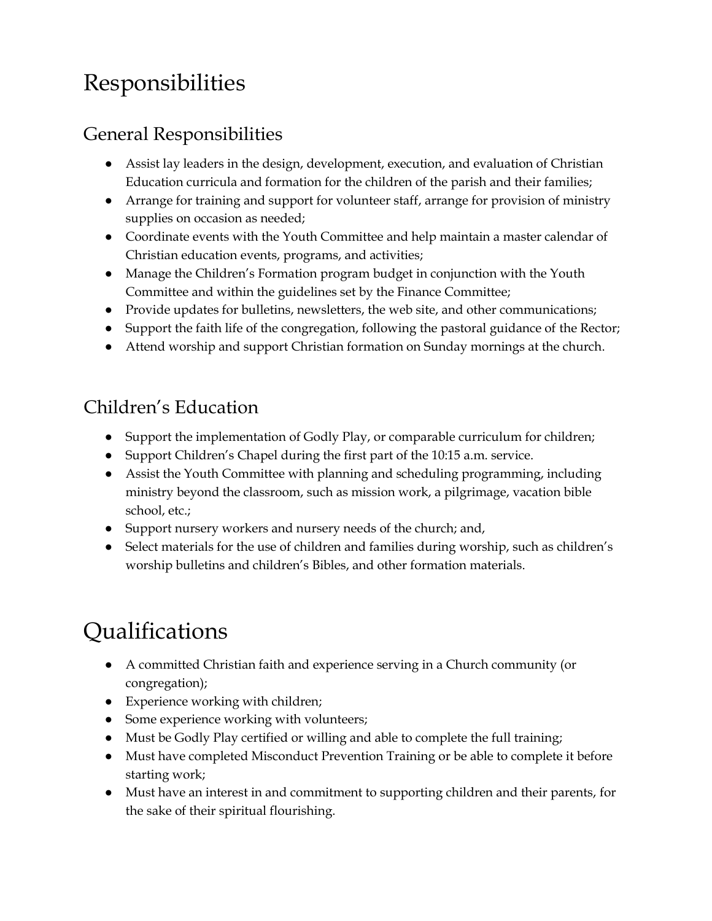## Responsibilities

#### General Responsibilities

- Assist lay leaders in the design, development, execution, and evaluation of Christian Education curricula and formation for the children of the parish and their families;
- Arrange for training and support for volunteer staff, arrange for provision of ministry supplies on occasion as needed;
- Coordinate events with the Youth Committee and help maintain a master calendar of Christian education events, programs, and activities;
- Manage the Children's Formation program budget in conjunction with the Youth Committee and within the guidelines set by the Finance Committee;
- Provide updates for bulletins, newsletters, the web site, and other communications;
- Support the faith life of the congregation, following the pastoral guidance of the Rector;
- Attend worship and support Christian formation on Sunday mornings at the church.

#### Children's Education

- Support the implementation of Godly Play, or comparable curriculum for children;
- Support Children's Chapel during the first part of the 10:15 a.m. service.
- Assist the Youth Committee with planning and scheduling programming, including ministry beyond the classroom, such as mission work, a pilgrimage, vacation bible school, etc.;
- Support nursery workers and nursery needs of the church; and,
- Select materials for the use of children and families during worship, such as children's worship bulletins and children's Bibles, and other formation materials.

# Qualifications

- A committed Christian faith and experience serving in a Church community (or congregation);
- Experience working with children;
- Some experience working with volunteers;
- Must be Godly Play certified or willing and able to complete the full training;
- Must have completed Misconduct Prevention Training or be able to complete it before starting work;
- Must have an interest in and commitment to supporting children and their parents, for the sake of their spiritual flourishing.